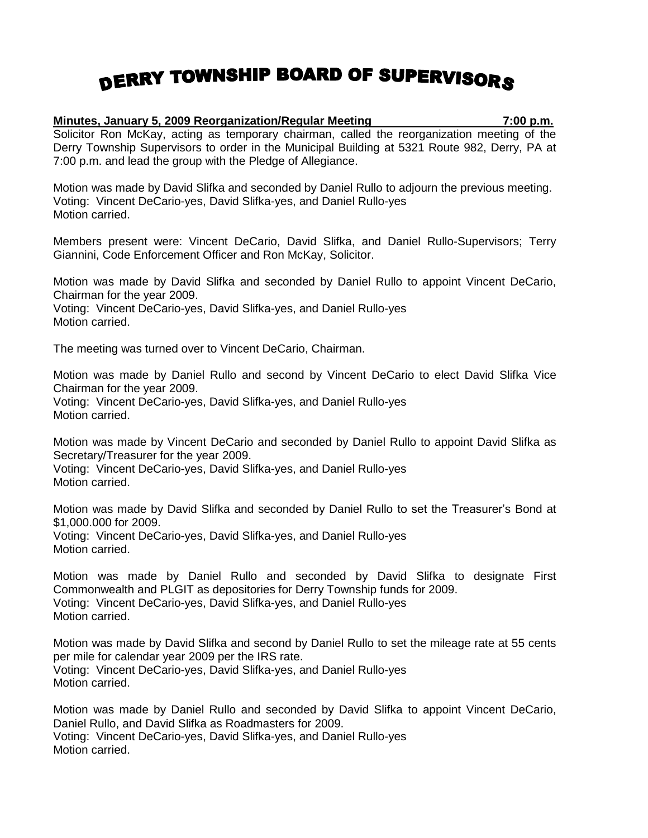## DERRY TOWNSHIP BOARD OF SUPERVISORS

## **Minutes, January 5, 2009 Reorganization/Regular Meeting 7:00 p.m.**

Solicitor Ron McKay, acting as temporary chairman, called the reorganization meeting of the Derry Township Supervisors to order in the Municipal Building at 5321 Route 982, Derry, PA at 7:00 p.m. and lead the group with the Pledge of Allegiance.

Motion was made by David Slifka and seconded by Daniel Rullo to adjourn the previous meeting. Voting: Vincent DeCario-yes, David Slifka-yes, and Daniel Rullo-yes Motion carried.

Members present were: Vincent DeCario, David Slifka, and Daniel Rullo-Supervisors; Terry Giannini, Code Enforcement Officer and Ron McKay, Solicitor.

Motion was made by David Slifka and seconded by Daniel Rullo to appoint Vincent DeCario, Chairman for the year 2009.

Voting: Vincent DeCario-yes, David Slifka-yes, and Daniel Rullo-yes Motion carried.

The meeting was turned over to Vincent DeCario, Chairman.

Motion was made by Daniel Rullo and second by Vincent DeCario to elect David Slifka Vice Chairman for the year 2009.

Voting: Vincent DeCario-yes, David Slifka-yes, and Daniel Rullo-yes Motion carried.

Motion was made by Vincent DeCario and seconded by Daniel Rullo to appoint David Slifka as Secretary/Treasurer for the year 2009.

Voting: Vincent DeCario-yes, David Slifka-yes, and Daniel Rullo-yes Motion carried.

Motion was made by David Slifka and seconded by Daniel Rullo to set the Treasurer's Bond at \$1,000.000 for 2009. Voting: Vincent DeCario-yes, David Slifka-yes, and Daniel Rullo-yes

Motion carried.

Motion was made by Daniel Rullo and seconded by David Slifka to designate First Commonwealth and PLGIT as depositories for Derry Township funds for 2009. Voting: Vincent DeCario-yes, David Slifka-yes, and Daniel Rullo-yes Motion carried.

Motion was made by David Slifka and second by Daniel Rullo to set the mileage rate at 55 cents per mile for calendar year 2009 per the IRS rate. Voting: Vincent DeCario-yes, David Slifka-yes, and Daniel Rullo-yes Motion carried.

Motion was made by Daniel Rullo and seconded by David Slifka to appoint Vincent DeCario, Daniel Rullo, and David Slifka as Roadmasters for 2009. Voting: Vincent DeCario-yes, David Slifka-yes, and Daniel Rullo-yes Motion carried.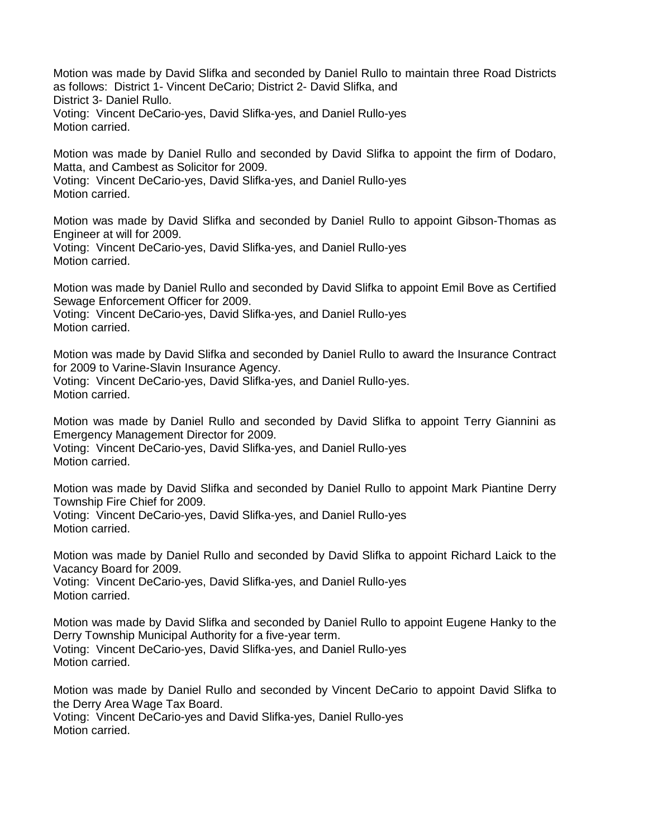Motion was made by David Slifka and seconded by Daniel Rullo to maintain three Road Districts as follows: District 1- Vincent DeCario; District 2- David Slifka, and District 3- Daniel Rullo. Voting: Vincent DeCario-yes, David Slifka-yes, and Daniel Rullo-yes Motion carried.

Motion was made by Daniel Rullo and seconded by David Slifka to appoint the firm of Dodaro, Matta, and Cambest as Solicitor for 2009.

Voting: Vincent DeCario-yes, David Slifka-yes, and Daniel Rullo-yes Motion carried.

Motion was made by David Slifka and seconded by Daniel Rullo to appoint Gibson-Thomas as Engineer at will for 2009.

Voting: Vincent DeCario-yes, David Slifka-yes, and Daniel Rullo-yes Motion carried.

Motion was made by Daniel Rullo and seconded by David Slifka to appoint Emil Bove as Certified Sewage Enforcement Officer for 2009.

Voting: Vincent DeCario-yes, David Slifka-yes, and Daniel Rullo-yes Motion carried.

Motion was made by David Slifka and seconded by Daniel Rullo to award the Insurance Contract for 2009 to Varine-Slavin Insurance Agency.

Voting: Vincent DeCario-yes, David Slifka-yes, and Daniel Rullo-yes. Motion carried.

Motion was made by Daniel Rullo and seconded by David Slifka to appoint Terry Giannini as Emergency Management Director for 2009.

Voting: Vincent DeCario-yes, David Slifka-yes, and Daniel Rullo-yes Motion carried.

Motion was made by David Slifka and seconded by Daniel Rullo to appoint Mark Piantine Derry Township Fire Chief for 2009. Voting: Vincent DeCario-yes, David Slifka-yes, and Daniel Rullo-yes

Motion carried.

Motion was made by Daniel Rullo and seconded by David Slifka to appoint Richard Laick to the Vacancy Board for 2009.

Voting: Vincent DeCario-yes, David Slifka-yes, and Daniel Rullo-yes Motion carried.

Motion was made by David Slifka and seconded by Daniel Rullo to appoint Eugene Hanky to the Derry Township Municipal Authority for a five-year term. Voting: Vincent DeCario-yes, David Slifka-yes, and Daniel Rullo-yes Motion carried.

Motion was made by Daniel Rullo and seconded by Vincent DeCario to appoint David Slifka to the Derry Area Wage Tax Board.

Voting: Vincent DeCario-yes and David Slifka-yes, Daniel Rullo-yes Motion carried.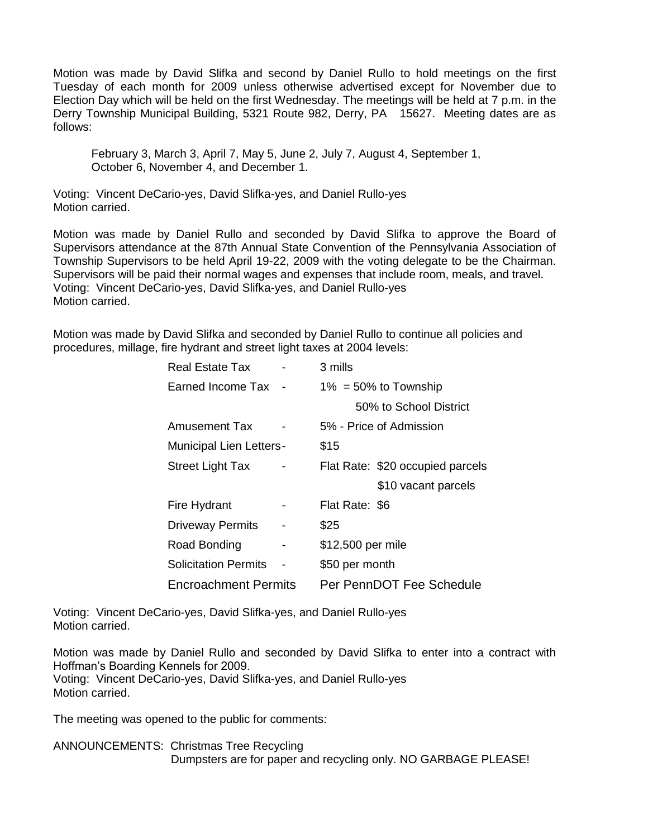Motion was made by David Slifka and second by Daniel Rullo to hold meetings on the first Tuesday of each month for 2009 unless otherwise advertised except for November due to Election Day which will be held on the first Wednesday. The meetings will be held at 7 p.m. in the Derry Township Municipal Building, 5321 Route 982, Derry, PA 15627. Meeting dates are as follows:

February 3, March 3, April 7, May 5, June 2, July 7, August 4, September 1, October 6, November 4, and December 1.

Voting: Vincent DeCario-yes, David Slifka-yes, and Daniel Rullo-yes Motion carried.

Motion was made by Daniel Rullo and seconded by David Slifka to approve the Board of Supervisors attendance at the 87th Annual State Convention of the Pennsylvania Association of Township Supervisors to be held April 19-22, 2009 with the voting delegate to be the Chairman. Supervisors will be paid their normal wages and expenses that include room, meals, and travel. Voting: Vincent DeCario-yes, David Slifka-yes, and Daniel Rullo-yes Motion carried.

Motion was made by David Slifka and seconded by Daniel Rullo to continue all policies and procedures, millage, fire hydrant and street light taxes at 2004 levels:

| Real Estate Tax                |   | 3 mills                  |                                  |
|--------------------------------|---|--------------------------|----------------------------------|
| Earned Income Tax              |   | $1\% = 50\%$ to Township |                                  |
|                                |   |                          | 50% to School District           |
| Amusement Tax                  |   | 5% - Price of Admission  |                                  |
| <b>Municipal Lien Letters-</b> |   | \$15                     |                                  |
| <b>Street Light Tax</b>        |   |                          | Flat Rate: \$20 occupied parcels |
|                                |   |                          | \$10 vacant parcels              |
| Fire Hydrant                   |   | Flat Rate: \$6           |                                  |
| <b>Driveway Permits</b>        |   | \$25                     |                                  |
| Road Bonding                   | - | \$12,500 per mile        |                                  |
| <b>Solicitation Permits</b>    |   | \$50 per month           |                                  |
| <b>Encroachment Permits</b>    |   | Per PennDOT Fee Schedule |                                  |

Voting: Vincent DeCario-yes, David Slifka-yes, and Daniel Rullo-yes Motion carried.

Motion was made by Daniel Rullo and seconded by David Slifka to enter into a contract with Hoffman's Boarding Kennels for 2009.

Voting: Vincent DeCario-yes, David Slifka-yes, and Daniel Rullo-yes Motion carried.

The meeting was opened to the public for comments:

ANNOUNCEMENTS: Christmas Tree Recycling Dumpsters are for paper and recycling only. NO GARBAGE PLEASE!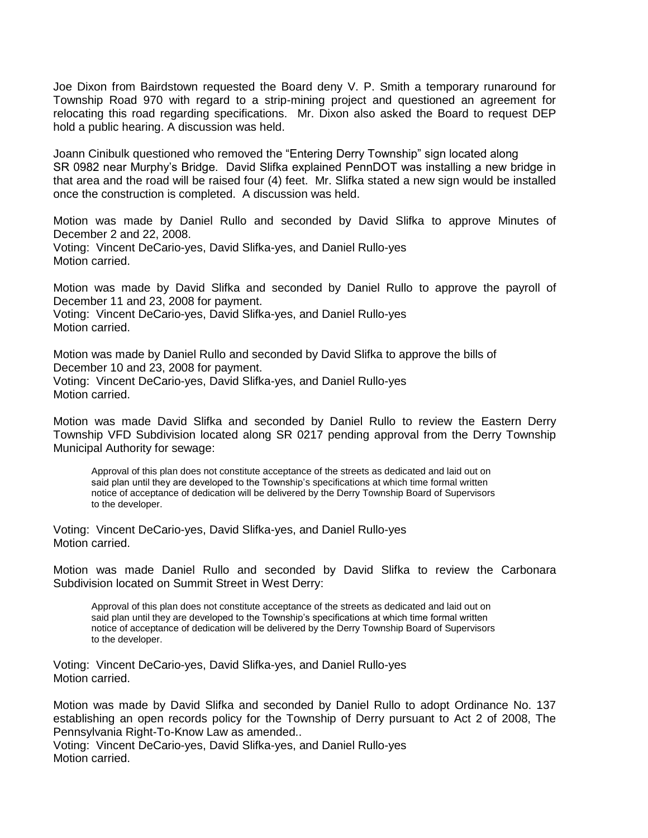Joe Dixon from Bairdstown requested the Board deny V. P. Smith a temporary runaround for Township Road 970 with regard to a strip-mining project and questioned an agreement for relocating this road regarding specifications. Mr. Dixon also asked the Board to request DEP hold a public hearing. A discussion was held.

Joann Cinibulk questioned who removed the "Entering Derry Township" sign located along SR 0982 near Murphy's Bridge. David Slifka explained PennDOT was installing a new bridge in that area and the road will be raised four (4) feet. Mr. Slifka stated a new sign would be installed once the construction is completed. A discussion was held.

Motion was made by Daniel Rullo and seconded by David Slifka to approve Minutes of December 2 and 22, 2008. Voting: Vincent DeCario-yes, David Slifka-yes, and Daniel Rullo-yes Motion carried.

Motion was made by David Slifka and seconded by Daniel Rullo to approve the payroll of December 11 and 23, 2008 for payment. Voting: Vincent DeCario-yes, David Slifka-yes, and Daniel Rullo-yes Motion carried.

Motion was made by Daniel Rullo and seconded by David Slifka to approve the bills of December 10 and 23, 2008 for payment. Voting: Vincent DeCario-yes, David Slifka-yes, and Daniel Rullo-yes Motion carried.

Motion was made David Slifka and seconded by Daniel Rullo to review the Eastern Derry Township VFD Subdivision located along SR 0217 pending approval from the Derry Township Municipal Authority for sewage:

Approval of this plan does not constitute acceptance of the streets as dedicated and laid out on said plan until they are developed to the Township's specifications at which time formal written notice of acceptance of dedication will be delivered by the Derry Township Board of Supervisors to the developer.

Voting: Vincent DeCario-yes, David Slifka-yes, and Daniel Rullo-yes Motion carried.

Motion was made Daniel Rullo and seconded by David Slifka to review the Carbonara Subdivision located on Summit Street in West Derry:

Approval of this plan does not constitute acceptance of the streets as dedicated and laid out on said plan until they are developed to the Township's specifications at which time formal written notice of acceptance of dedication will be delivered by the Derry Township Board of Supervisors to the developer.

Voting: Vincent DeCario-yes, David Slifka-yes, and Daniel Rullo-yes Motion carried.

Motion was made by David Slifka and seconded by Daniel Rullo to adopt Ordinance No. 137 establishing an open records policy for the Township of Derry pursuant to Act 2 of 2008, The Pennsylvania Right-To-Know Law as amended..

Voting: Vincent DeCario-yes, David Slifka-yes, and Daniel Rullo-yes Motion carried.